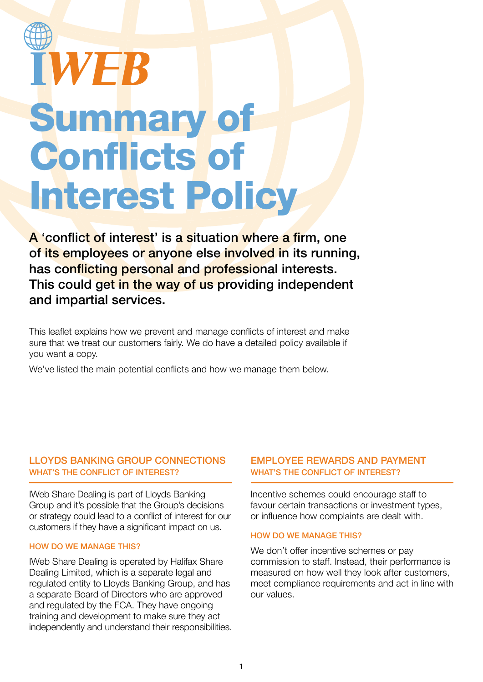# **WEB** Summary of Conflicts of Interest Policy

A 'conflict of interest' is a situation where a firm, one of its employees or anyone else involved in its running, has conflicting personal and professional interests. This could get in the way of us providing independent and impartial services.

This leaflet explains how we prevent and manage conflicts of interest and make sure that we treat our customers fairly. We do have a detailed policy available if you want a copy.

We've listed the main potential conflicts and how we manage them below.

## LLOYDS BANKING GROUP CONNECTIONS WHAT'S THE CONFLICT OF INTEREST?

IWeb Share Dealing is part of Lloyds Banking Group and it's possible that the Group's decisions or strategy could lead to a conflict of interest for our customers if they have a significant impact on us.

#### HOW DO WE MANAGE THIS?

IWeb Share Dealing is operated by Halifax Share Dealing Limited, which is a separate legal and regulated entity to Lloyds Banking Group, and has a separate Board of Directors who are approved and regulated by the FCA. They have ongoing training and development to make sure they act independently and understand their responsibilities.

#### EMPLOYEE REWARDS AND PAYMENT WHAT'S THE CONFLICT OF INTEREST?

Incentive schemes could encourage staff to favour certain transactions or investment types, or influence how complaints are dealt with.

#### HOW DO WE MANAGE THIS?

We don't offer incentive schemes or pay commission to staff. Instead, their performance is measured on how well they look after customers, meet compliance requirements and act in line with our values.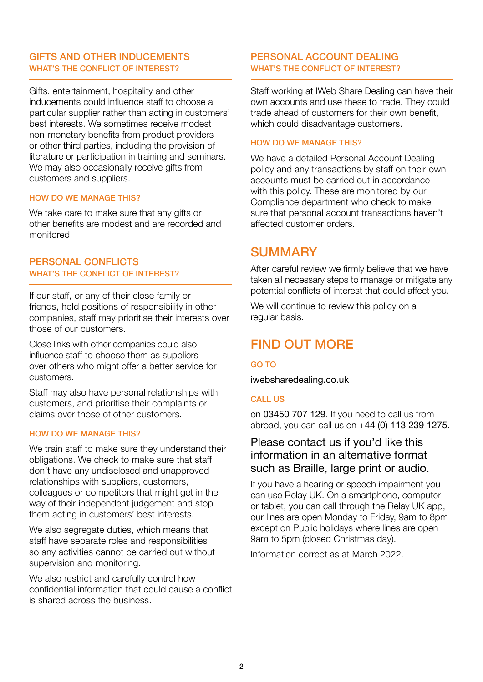## GIFTS AND OTHER INDUCEMENTS WHAT'S THE CONFLICT OF INTEREST?

Gifts, entertainment, hospitality and other inducements could influence staff to choose a particular supplier rather than acting in customers' best interests. We sometimes receive modest non-monetary benefits from product providers or other third parties, including the provision of literature or participation in training and seminars. We may also occasionally receive gifts from customers and suppliers.

#### HOW DO WE MANAGE THIS?

We take care to make sure that any gifts or other benefits are modest and are recorded and monitored.

#### PERSONAL CONFLICTS WHAT'S THE CONFLICT OF INTEREST?

If our staff, or any of their close family or friends, hold positions of responsibility in other companies, staff may prioritise their interests over those of our customers.

Close links with other companies could also influence staff to choose them as suppliers over others who might offer a better service for customers.

Staff may also have personal relationships with customers, and prioritise their complaints or claims over those of other customers.

#### HOW DO WE MANAGE THIS?

We train staff to make sure they understand their obligations. We check to make sure that staff don't have any undisclosed and unapproved relationships with suppliers, customers, colleagues or competitors that might get in the way of their independent judgement and stop them acting in customers' best interests.

We also segregate duties, which means that staff have separate roles and responsibilities so any activities cannot be carried out without supervision and monitoring.

We also restrict and carefully control how confidential information that could cause a conflict is shared across the business.

#### PERSONAL ACCOUNT DEALING WHAT'S THE CONFLICT OF INTEREST?

Staff working at IWeb Share Dealing can have their own accounts and use these to trade. They could trade ahead of customers for their own benefit, which could disadvantage customers.

#### HOW DO WE MANAGE THIS?

We have a detailed Personal Account Dealing policy and any transactions by staff on their own accounts must be carried out in accordance with this policy. These are monitored by our Compliance department who check to make sure that personal account transactions haven't affected customer orders.

# **SUMMARY**

After careful review we firmly believe that we have taken all necessary steps to manage or mitigate any potential conflicts of interest that could affect you.

We will continue to review this policy on a regular basis.

# FIND OUT MORE

#### GO TO

iwebsharedealing.co.uk

#### CALL US

on 03450 707 129. If you need to call us from abroad, you can call us on +44 (0) 113 239 1275.

# Please contact us if you'd like this information in an alternative format such as Braille, large print or audio.

If you have a hearing or speech impairment you can use Relay UK. On a smartphone, computer or tablet, you can call through the Relay UK app, our lines are open Monday to Friday, 9am to 8pm except on Public holidays where lines are open 9am to 5pm (closed Christmas day).

Information correct as at March 2022.